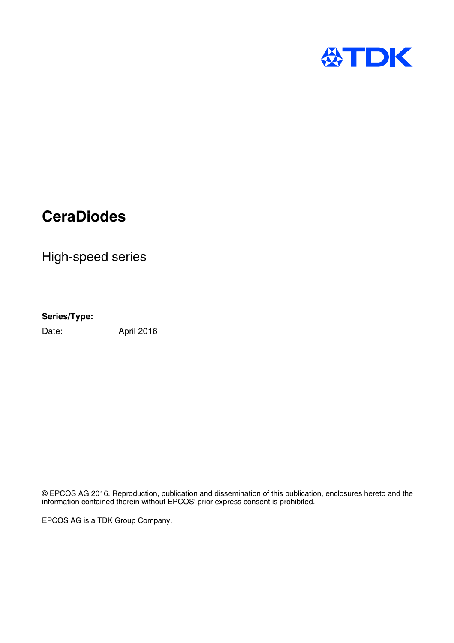

High-speed series

## **Series/Type:**

Date: April 2016

© EPCOS AG 2016. Reproduction, publication and dissemination of this publication, enclosures hereto and the information contained therein without EPCOS' prior express consent is prohibited.

EPCOS AG is a TDK Group Company.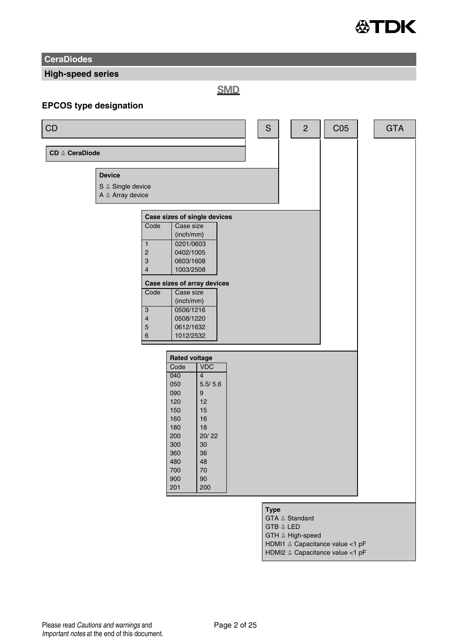

**High-speed series**

**SMD** 

## **EPCOS type designation**

| CD                        |                                                                                                                 |                                                                                                                                                                                                                         | $\mathbb S$                                                                                                         | $\overline{2}$ | C <sub>05</sub>                        | <b>GTA</b> |  |
|---------------------------|-----------------------------------------------------------------------------------------------------------------|-------------------------------------------------------------------------------------------------------------------------------------------------------------------------------------------------------------------------|---------------------------------------------------------------------------------------------------------------------|----------------|----------------------------------------|------------|--|
| $CD \triangleq CeraDiode$ |                                                                                                                 |                                                                                                                                                                                                                         |                                                                                                                     |                |                                        |            |  |
|                           | <b>Device</b><br>$S \triangleq$ Single device<br>$A \triangleq$ Array device                                    |                                                                                                                                                                                                                         |                                                                                                                     |                |                                        |            |  |
|                           | Code<br>$\mathbf{1}$<br>$\overline{2}$<br>3<br>$\overline{4}$<br>Code<br>3<br>$\overline{\mathbf{4}}$<br>5<br>6 | Case sizes of single devices<br>Case size<br>(inch/mm)<br>0201/0603<br>0402/1005<br>0603/1608<br>1003/2508<br>Case sizes of array devices<br>Case size<br>(inch/mm)<br>0506/1216<br>0508/1220<br>0612/1632<br>1012/2532 |                                                                                                                     |                |                                        |            |  |
|                           |                                                                                                                 | <b>Rated voltage</b><br>Code<br>040<br>050<br>090<br>120<br>150<br>160<br>180<br>200<br>300<br>360<br>480<br>700<br>900<br>201                                                                                          | <b>VDC</b><br>$\overline{4}$<br>5.5/ 5.6<br>9<br>12<br>15<br>16<br>18<br>20/22<br>30<br>36<br>48<br>70<br>90<br>200 |                |                                        |            |  |
|                           |                                                                                                                 |                                                                                                                                                                                                                         |                                                                                                                     | <b>Type</b>    | GTA $\triangleq$ Standard<br>GTR A LED |            |  |

- GTB ≙ LED<br>GTH ≙ High-speed
- 
- HDMI1 Capacitance value <1 pF HDMI2 Capacitance value <1 pF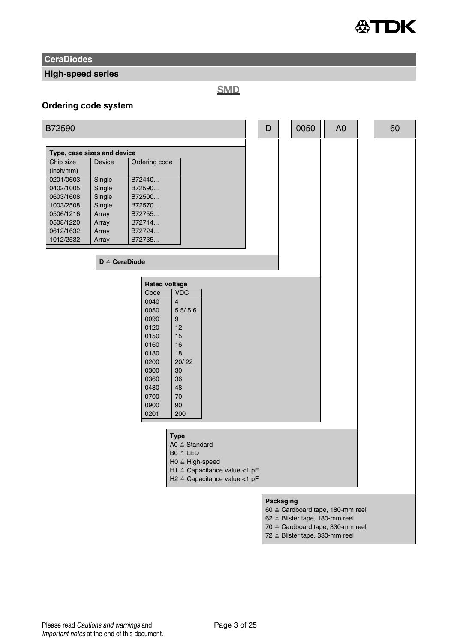

### **High-speed series**

**SMD** 

#### **Ordering code system**

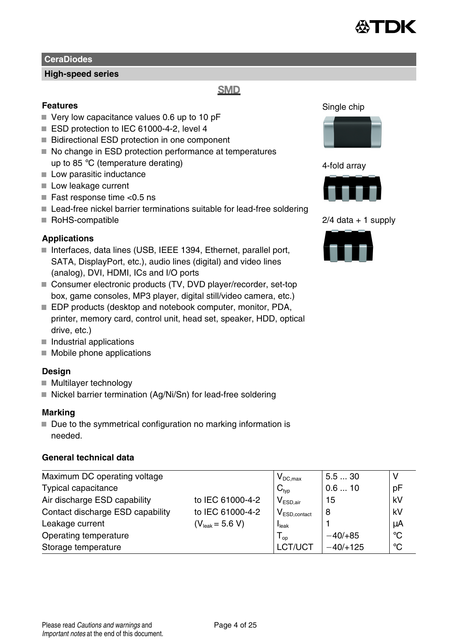

### **High-speed series**

## **SMD**

### **Features**

- $\blacksquare$  Very low capacitance values 0.6 up to 10 pF
- ESD protection to IEC 61000-4-2, level 4
- Bidirectional ESD protection in one component
- No change in ESD protection performance at temperatures up to 85 °C (temperature derating)
- Low parasitic inductance
- Low leakage current
- Fast response time  $<$ 0.5 ns
- Lead-free nickel barrier terminations suitable for lead-free soldering
- RoHS-compatible

### **Applications**

- Interfaces, data lines (USB, IEEE 1394, Ethernet, parallel port, SATA, DisplayPort, etc.), audio lines (digital) and video lines (analog), DVI, HDMI, ICs and I/O ports
- Consumer electronic products (TV, DVD player/recorder, set-top box, game consoles, MP3 player, digital still/video camera, etc.)
- EDP products (desktop and notebook computer, monitor, PDA, printer, memory card, control unit, head set, speaker, HDD, optical drive, etc.)
- $\blacksquare$  Industrial applications
- $\blacksquare$  Mobile phone applications

### **Design**

- Multilayer technology
- $\blacksquare$  Nickel barrier termination (Ag/Ni/Sn) for lead-free soldering

#### **Marking**

 $\blacksquare$  Due to the symmetrical configuration no marking information is needed.

### **General technical data**

| Maximum DC operating voltage     |                             | $V_{DC,max}$               | 5.530      |              |
|----------------------------------|-----------------------------|----------------------------|------------|--------------|
| Typical capacitance              |                             | $C_{typ}$                  | 0.610      | pF           |
| Air discharge ESD capability     | to IEC 61000-4-2            | $V_{ESD.air}$              | 15         | kV           |
| Contact discharge ESD capability | to IEC 61000-4-2            | $V_{ESD,contact}$          | 8          | kV           |
| Leakage current                  | $(V_{\text{leak}} = 5.6 V)$ | I <sub>leak</sub>          |            | μA           |
| Operating temperature            |                             | $\mathsf{I}_{\mathsf{op}}$ | $-40/+85$  | $^{\circ}$ C |
| Storage temperature              |                             | LCT/UCT                    | $-40/+125$ | °C           |

Single chip



4-fold array



 $2/4$  data  $+1$  supply

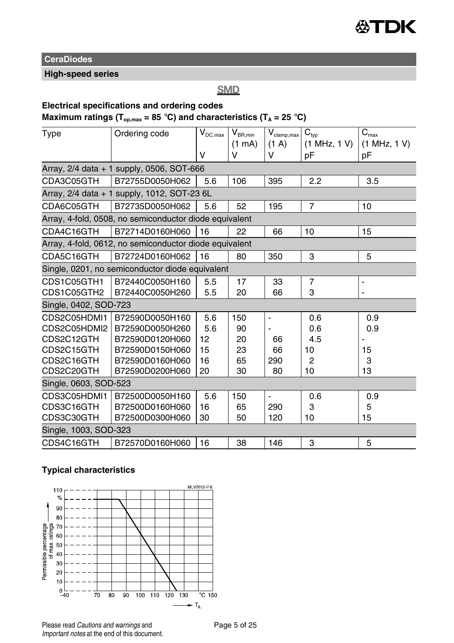

## **High-speed series**

**SMD** 

## **Electrical specifications and ordering codes**

## **Maximum ratings (Top,max = 85** °**C) and characteristics (T<sup>A</sup> = 25** °**C)**

| Type                  | Ordering code                                          | $\mathsf{V}_{\mathsf{DC},\mathsf{max}}$ | $\mathsf{V}_{\mathsf{BR},\mathsf{min}}$ | $\mathsf{V}_{\text{clamp,max}}$ | $\mathbf{C}_{\text{typ}}$<br>(1 MHz, 1 V) | $C_{\text{max}}$<br>(1 MHz, 1 V) |
|-----------------------|--------------------------------------------------------|-----------------------------------------|-----------------------------------------|---------------------------------|-------------------------------------------|----------------------------------|
|                       |                                                        | v                                       | $(1 \text{ mA})$<br>V                   | (1 A)<br>v                      | рF                                        | pF                               |
|                       | Array, 2/4 data + 1 supply, 0506, SOT-666              |                                         |                                         |                                 |                                           |                                  |
| CDA3C05GTH            | B72755D0050H062                                        | 5.6                                     | 106                                     | 395                             | 2.2                                       | 3.5                              |
|                       | Array, 2/4 data + 1 supply, 1012, SOT-23 6L            |                                         |                                         |                                 |                                           |                                  |
|                       |                                                        |                                         |                                         |                                 |                                           |                                  |
| CDA6C05GTH            | B72735D0050H062                                        | 5.6                                     | 52                                      | 195                             | $\overline{7}$                            | 10                               |
|                       | Array, 4-fold, 0508, no semiconductor diode equivalent |                                         |                                         |                                 |                                           |                                  |
| CDA4C16GTH            | B72714D0160H060                                        | 16                                      | 22                                      | 66                              | 10                                        | 15                               |
|                       | Array, 4-fold, 0612, no semiconductor diode equivalent |                                         |                                         |                                 |                                           |                                  |
| CDA5C16GTH            | B72724D0160H062                                        | 16                                      | 80                                      | 350                             | 3                                         | 5                                |
|                       | Single, 0201, no semiconductor diode equivalent        |                                         |                                         |                                 |                                           |                                  |
| CDS1C05GTH1           | B72440C0050H160                                        | 5.5                                     | 17                                      | 33                              | 7                                         | ٠                                |
| CDS1C05GTH2           | B72440C0050H260                                        | 5.5                                     | 20                                      | 66                              | 3                                         |                                  |
| Single, 0402, SOD-723 |                                                        |                                         |                                         |                                 |                                           |                                  |
| CDS2C05HDMI1          | B72590D0050H160                                        | 5.6                                     | 150                                     | $\blacksquare$                  | 0.6                                       | 0.9                              |
| CDS2C05HDMI2          | B72590D0050H260                                        | 5.6                                     | 90                                      |                                 | 0.6                                       | 0.9                              |
| CDS2C12GTH            | B72590D0120H060                                        | 12                                      | 20                                      | 66                              | 4.5                                       |                                  |
| CDS2C15GTH            | B72590D0150H060                                        | 15                                      | 23                                      | 66                              | 10                                        | 15                               |
| CDS2C16GTH            | B72590D0160H060                                        | 16                                      | 65                                      | 290                             | 2                                         | 3                                |
| CDS2C20GTH            | B72590D0200H060                                        | 20                                      | 30                                      | 80                              | 10                                        | 13                               |
| Single, 0603, SOD-523 |                                                        |                                         |                                         |                                 |                                           |                                  |
| CDS3C05HDMI1          | B72500D0050H160                                        | 5.6                                     | 150                                     | $\tilde{\phantom{a}}$           | 0.6                                       | 0.9                              |
| CDS3C16GTH            | B72500D0160H060                                        | 16                                      | 65                                      | 290                             | 3                                         | 5                                |
| CDS3C30GTH            | B72500D0300H060                                        | 30                                      | 50                                      | 120                             | 10                                        | 15                               |
| Single, 1003, SOD-323 |                                                        |                                         |                                         |                                 |                                           |                                  |
| CDS4C16GTH            | B72570D0160H060                                        | 16                                      | 38                                      | 146                             | 3                                         | 5                                |

### **Typical characteristics**

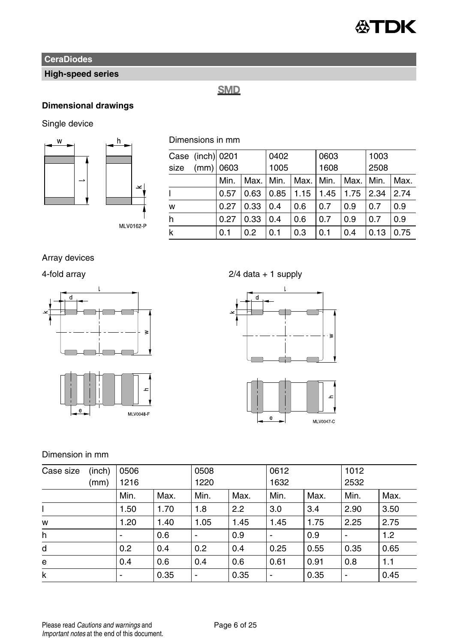

## **High-speed series**

## **SMD**

## **Dimensional drawings**

Single device



 $\checkmark$ 

MLV0162-P

Dimensions in mm

|      |                                 | 0402 |      |      | 0603      |      | 1003 |  |
|------|---------------------------------|------|------|------|-----------|------|------|--|
|      |                                 | 1005 |      | 1608 |           | 2508 |      |  |
| Min. |                                 | Min. |      |      |           |      | Max. |  |
| 0.57 | 0.63                            | 0.85 | 1.15 | 1.45 | 1.75      | 2.34 | 2.74 |  |
| 0.27 | 0.33                            | 0.4  | 0.6  | 0.7  | 0.9       | 0.7  | 0.9  |  |
| 0.27 | 0.33                            | 0.4  | 0.6  | 0.7  | 0.9       | 0.7  | 0.9  |  |
| 0.1  | 0.2                             | 0.1  | 0.3  | 0.1  | 0.4       | 0.13 | 0.75 |  |
|      | Case (inch) 0201<br>$(mm)$ 0603 |      | Max. |      | Max. Min. | Max. | Min. |  |

Array devices



4-fold array 2/4 data + 1 supply





Dimension in mm

| (inch)<br>Case size |      | 0506 |      | 0508                     |      | 0612 |      | 1012                     |      |
|---------------------|------|------|------|--------------------------|------|------|------|--------------------------|------|
|                     | (mm) | 1216 |      | 1220                     |      | 1632 |      | 2532                     |      |
|                     |      | Min. | Max. | Min.                     | Max. | Min. | Max. | Min.                     | Max. |
|                     |      | 1.50 | 1.70 | 1.8                      | 2.2  | 3.0  | 3.4  | 2.90                     | 3.50 |
| W                   |      | 1.20 | 1.40 | 1.05                     | 1.45 | 1.45 | 1.75 | 2.25                     | 2.75 |
| h                   |      |      | 0.6  | $\blacksquare$           | 0.9  |      | 0.9  |                          | 1.2  |
| d                   |      | 0.2  | 0.4  | 0.2                      | 0.4  | 0.25 | 0.55 | 0.35                     | 0.65 |
| e                   |      | 0.4  | 0.6  | 0.4                      | 0.6  | 0.61 | 0.91 | 0.8                      | 1.1  |
| k                   |      |      | 0.35 | $\overline{\phantom{a}}$ | 0.35 | -    | 0.35 | $\overline{\phantom{0}}$ | 0.45 |

Please read Cautions and warnings and <br>
Page 6 of 25 Important notes at the end of this document.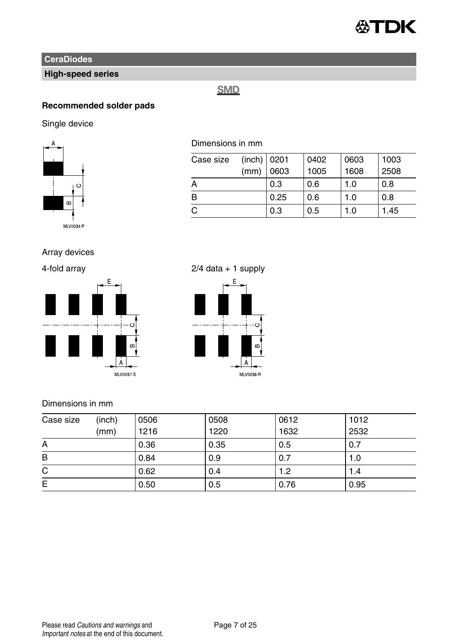

## **High-speed series**

## **SMD**

## **Recommended solder pads**

Single device



## Dimensions in mm

| Case size | $(inch)$ 0201 |      | 0402 | 0603 | 1003 |
|-----------|---------------|------|------|------|------|
|           | (mm)          | 0603 | 1005 | 1608 | 2508 |
| A         |               | 0.3  | 0.6  | 1.0  | 0.8  |
| B         |               | 0.25 | 0.6  | 1.0  | 0.8  |
| C         |               | 0.3  | 0.5  | 1.0  | 1.45 |

### Array devices



## 4-fold array 2/4 data + 1 supply



### Dimensions in mm

| Case size | (inch)<br>(mm) | 0506<br>1216 | 0508<br>1220 | 0612<br>1632 | 1012<br>2532 |
|-----------|----------------|--------------|--------------|--------------|--------------|
| A         |                | 0.36         | 0.35         | 0.5          | 0.7          |
| B         |                | 0.84         | 0.9          | 0.7          | 1.0          |
| C         |                | 0.62         | 0.4          | 1.2          | 1.4          |
| Е         |                | 0.50         | 0.5          | 0.76         | 0.95         |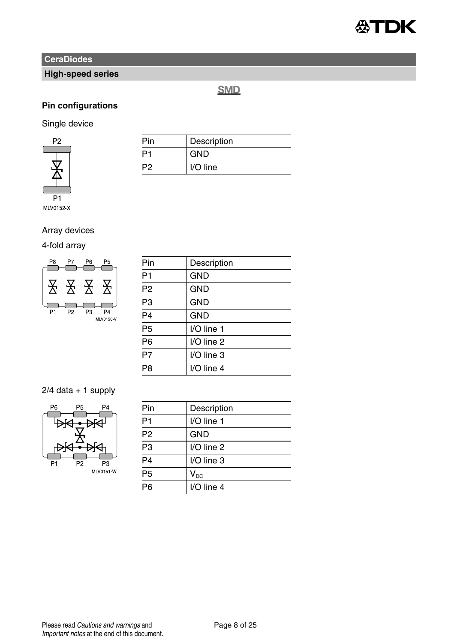

## **High-speed series**

**SMD** 

## **Pin configurations**

## Single device



| Pin | Description |
|-----|-------------|
| o-  | <b>GND</b>  |
| P2  | I/O line    |

## Array devices

### 4-fold array



| Pin             | Description |
|-----------------|-------------|
| P <sub>1</sub>  | <b>GND</b>  |
| P <sub>2</sub>  | <b>GND</b>  |
| P <sub>3</sub>  | <b>GND</b>  |
| $\overline{P4}$ | <b>GND</b>  |
| $\overline{P5}$ | I/O line 1  |
| P <sub>6</sub>  | I/O line 2  |
| $\overline{P7}$ | I/O line 3  |
| P <sub>8</sub>  | I/O line 4  |
|                 |             |

## $2/4$  data + 1 supply



| Pin             | Description  |
|-----------------|--------------|
| P <sub>1</sub>  | I/O line 1   |
| P <sub>2</sub>  | <b>GND</b>   |
| P <sub>3</sub>  | I/O line 2   |
| $\overline{P4}$ | I/O line 3   |
| P <sub>5</sub>  | $V_{DC}$     |
| Pß              | $I/O$ line 4 |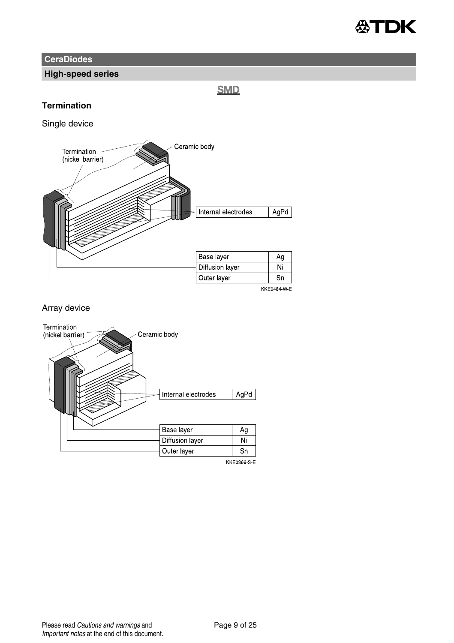

### **High-speed series**

**SMD** 

### **Termination**

Single device



### Array device



**KKE0366 S E**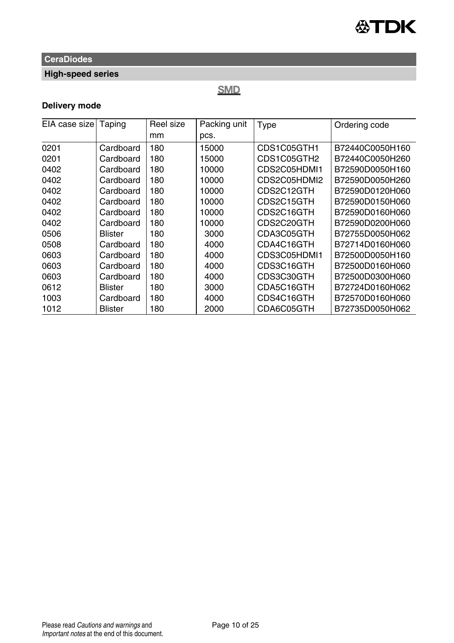

## **High-speed series**

## **SMD**

## **Delivery mode**

| EIA case size | Taping         | Reel size | Packing unit | Type         | Ordering code   |  |
|---------------|----------------|-----------|--------------|--------------|-----------------|--|
|               |                | mm        | pcs.         |              |                 |  |
| 0201          | Cardboard      | 180       | 15000        | CDS1C05GTH1  | B72440C0050H160 |  |
| 0201          | Cardboard      | 180       | 15000        | CDS1C05GTH2  | B72440C0050H260 |  |
| 0402          | Cardboard      | 180       | 10000        | CDS2C05HDMI1 | B72590D0050H160 |  |
| 0402          | Cardboard      | 180       | 10000        | CDS2C05HDMI2 | B72590D0050H260 |  |
| 0402          | Cardboard      | 180       | 10000        | CDS2C12GTH   | B72590D0120H060 |  |
| 0402          | Cardboard      | 180       | 10000        | CDS2C15GTH   | B72590D0150H060 |  |
| 0402          | Cardboard      | 180       | 10000        | CDS2C16GTH   | B72590D0160H060 |  |
| 0402          | Cardboard      | 180       | 10000        | CDS2C20GTH   | B72590D0200H060 |  |
| 0506          | <b>Blister</b> | 180       | 3000         | CDA3C05GTH   | B72755D0050H062 |  |
| 0508          | Cardboard      | 180       | 4000         | CDA4C16GTH   | B72714D0160H060 |  |
| 0603          | Cardboard      | 180       | 4000         | CDS3C05HDMI1 | B72500D0050H160 |  |
| 0603          | Cardboard      | 180       | 4000         | CDS3C16GTH   | B72500D0160H060 |  |
| 0603          | Cardboard      | 180       | 4000         | CDS3C30GTH   | B72500D0300H060 |  |
| 0612          | <b>Blister</b> | 180       | 3000         | CDA5C16GTH   | B72724D0160H062 |  |
| 1003          | Cardboard      | 180       | 4000         | CDS4C16GTH   | B72570D0160H060 |  |
| 1012          | <b>Blister</b> | 180       | 2000         | CDA6C05GTH   | B72735D0050H062 |  |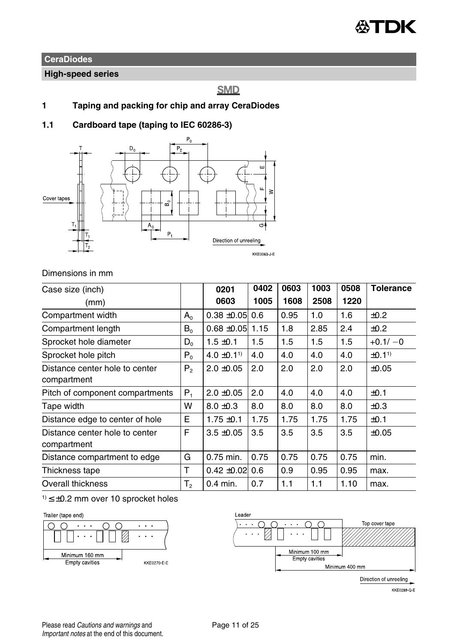

### **High-speed series**

## **SMD**

- **1 Taping and packing for chip and array CeraDiodes**
- **1.1 Cardboard tape (taping to IEC 60286-3)**



### Dimensions in mm

| Case size (inch)                |                | 0201                        | 0402 | 0603 | 1003 | 0508 | <b>Tolerance</b>  |
|---------------------------------|----------------|-----------------------------|------|------|------|------|-------------------|
| (mm)                            |                | 0603                        | 1005 | 1608 | 2508 | 1220 |                   |
| Compartment width               | $A_0$          | $0.38 + 0.05$               | 0.6  | 0.95 | 1.0  | 1.6  | ±0.2              |
| Compartment length              | $B_0$          | $0.68 + 0.05$               | 1.15 | 1.8  | 2.85 | 2.4  | ±0.2              |
| Sprocket hole diameter          | $D_{0}$        | $1.5 \pm 0.1$               | 1.5  | 1.5  | 1.5  | 1.5  | $+0.1/-0$         |
| Sprocket hole pitch             | $P_0$          | $4.0 \pm 0.1$ <sup>1)</sup> | 4.0  | 4.0  | 4.0  | 4.0  | ±0.1 <sup>1</sup> |
| Distance center hole to center  | P <sub>2</sub> | $2.0 \pm 0.05$              | 2.0  | 2.0  | 2.0  | 2.0  | $\pm 0.05$        |
| compartment                     |                |                             |      |      |      |      |                   |
| Pitch of component compartments | $P_1$          | $2.0 \pm 0.05$              | 2.0  | 4.0  | 4.0  | 4.0  | ±0.1              |
| Tape width                      | w              | $8.0 \pm 0.3$               | 8.0  | 8.0  | 8.0  | 8.0  | $\pm 0.3$         |
| Distance edge to center of hole | E              | $1.75 \pm 0.1$              | 1.75 | 1.75 | 1.75 | 1.75 | ±0.1              |
| Distance center hole to center  | F              | $3.5 + 0.05$                | 3.5  | 3.5  | 3.5  | 3.5  | ±0.05             |
| compartment                     |                |                             |      |      |      |      |                   |
| Distance compartment to edge    | G              | 0.75 min.                   | 0.75 | 0.75 | 0.75 | 0.75 | min.              |
| Thickness tape                  | т              | $0.42 \pm 0.02$ 0.6         |      | 0.9  | 0.95 | 0.95 | max.              |
| Overall thickness               | T,             | $0.4$ min.                  | 0.7  | 1.1  | 1.1  | 1.10 | max.              |

 $1$ )  $\leq \pm 0.2$  mm over 10 sprocket holes

#### Trailer (tape end)





Direction of unreeling

KKE0289-Q-E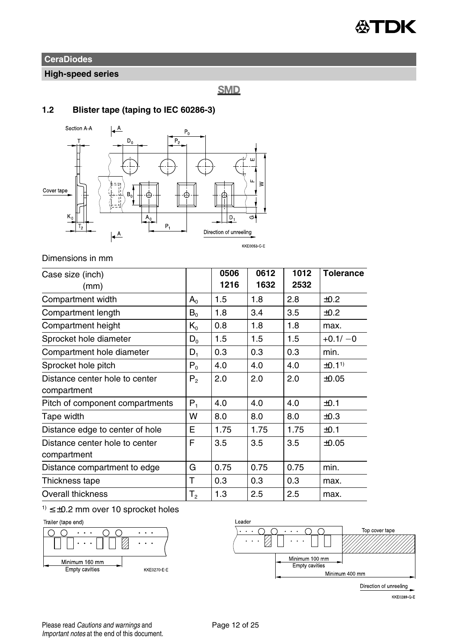

## **High-speed series**

**SMD** 

### **1.2 Blister tape (taping to IEC 60286-3)**



### Dimensions in mm

| Case size (inch)                |                | 0506 | 0612 | 1012 | <b>Tolerance</b> |
|---------------------------------|----------------|------|------|------|------------------|
| (mm)                            |                | 1216 | 1632 | 2532 |                  |
| Compartment width               | $A_{0}$        | 1.5  | 1.8  | 2.8  | ±0.2             |
| Compartment length              | $B_0$          | 1.8  | 3.4  | 3.5  | ±0.2             |
| Compartment height              | $K_{0}$        | 0.8  | 1.8  | 1.8  | max.             |
| Sprocket hole diameter          | $D_{0}$        | 1.5  | 1.5  | 1.5  | $+0.1/-0$        |
| Compartment hole diameter       | $D_1$          | 0.3  | 0.3  | 0.3  | min.             |
| Sprocket hole pitch             | $P_{0}$        | 4.0  | 4.0  | 4.0  | ±0.11            |
| Distance center hole to center  | $P_{2}$        | 2.0  | 2.0  | 2.0  | ±0.05            |
| compartment                     |                |      |      |      |                  |
| Pitch of component compartments | $P_1$          | 4.0  | 4.0  | 4.0  | ±0.1             |
| Tape width                      | W              | 8.0  | 8.0  | 8.0  | ±0.3             |
| Distance edge to center of hole | E              | 1.75 | 1.75 | 1.75 | ±0.1             |
| Distance center hole to center  |                | 3.5  | 3.5  | 3.5  | ±0.05            |
| compartment                     |                |      |      |      |                  |
| Distance compartment to edge    | G              | 0.75 | 0.75 | 0.75 | min.             |
| Thickness tape                  | Т              | 0.3  | 0.3  | 0.3  | max.             |
| Overall thickness               | T <sub>2</sub> | 1.3  | 2.5  | 2.5  | max.             |

## $1) \leq \pm 0.2$  mm over 10 sprocket holes







Direction of unreeling

**KKE0289-Q-E**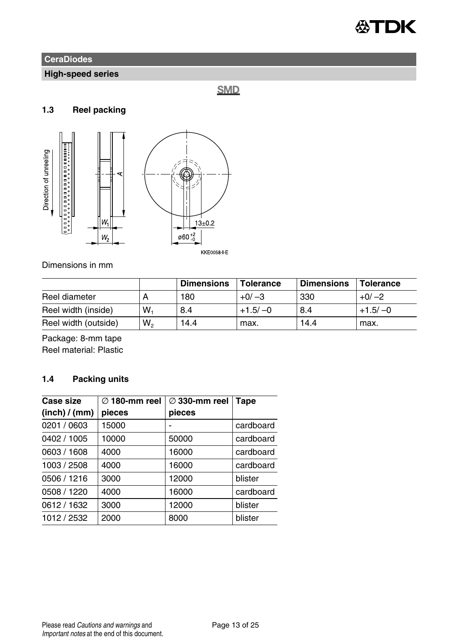

## **High-speed series**

**SMD** 

## **1.3 Reel packing**



KKE0058 E

Dimensions in mm

|                      |       | <b>Dimensions</b> | Tolerance | <b>Dimensions</b> | Tolerance |
|----------------------|-------|-------------------|-----------|-------------------|-----------|
| Reel diameter        |       | 180               | $+0/-3$   | 330               | $+0/-2$   |
| Reel width (inside)  | $W_1$ | 8.4               | $+1.5/-0$ | 8.4               | $+1.5/-0$ |
| Reel width (outside) | W,    | 14.4              | max.      | 14.4              | max.      |

Package: 8-mm tape Reel material: Plastic

## **1.4 Packing units**

| cardboard |
|-----------|
| cardboard |
| cardboard |
| cardboard |
|           |
| cardboard |
|           |
|           |
|           |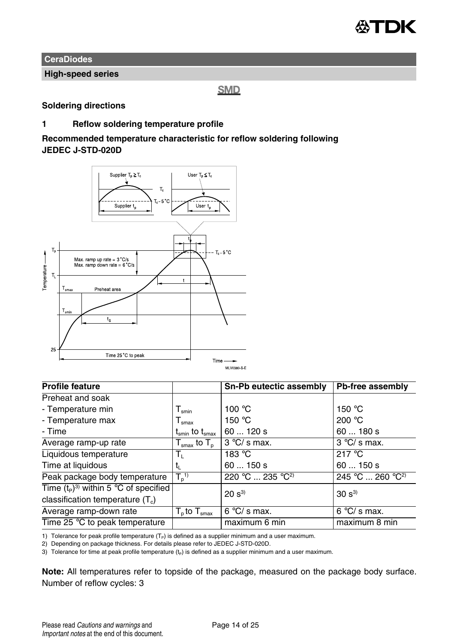

**High-speed series**

**SMD** 

### **Soldering directions**

### **1 Reflow soldering temperature profile**

**Recommended temperature characteristic for reflow soldering following JEDEC J-STD-020D**



| <b>Profile feature</b>                  |                                                              | Sn-Pb eutectic assembly                         | Pb-free assembly             |  |
|-----------------------------------------|--------------------------------------------------------------|-------------------------------------------------|------------------------------|--|
| Preheat and soak                        |                                                              |                                                 |                              |  |
| - Temperature min                       | $\Gamma_{\sf smin}$                                          | 100 $\degree$ C                                 | 150 $\degree$ C              |  |
| - Temperature max                       | $\mathsf{I}_{\text{smax}}$                                   | 150 $\degree$ C                                 | 200 $°C$                     |  |
| - Time                                  | $\mathsf{t}_{\mathsf{smin}}$ to $\mathsf{t}_{\mathsf{smax}}$ | 60120s                                          | 60180s                       |  |
| Average ramp-up rate                    | ${\sf T}_{\sf smax}$ to ${\sf T}_{\sf p}$                    | $3^{\circ}$ C/s max.                            | $3 °C/s$ max.                |  |
| Liquidous temperature                   | Ъ.                                                           | 183 °C                                          | 217 °C                       |  |
| Time at liquidous                       |                                                              | 60150s                                          | 60150s                       |  |
| Peak package body temperature           | $T_n$ <sup>1)</sup>                                          | $220^{\circ}$ C  235 $^{\circ}$ C <sup>2)</sup> | 245 °C  260 °C <sup>2)</sup> |  |
| Time $(t_P)^3$ within 5 °C of specified |                                                              | $20 s^{3}$                                      | $30 s^{3}$                   |  |
| classification temperature $(T_c)$      |                                                              |                                                 |                              |  |
| Average ramp-down rate                  | $\overline{T_{p}}$ to $T_{\text{smax}}$                      | $6 °C/s$ max.                                   | $6°C/s$ max.                 |  |
| Time 25 °C to peak temperature          |                                                              | maximum 6 min                                   | maximum 8 min                |  |

1) Tolerance for peak profile temperature  $(T<sub>P</sub>)$  is defined as a supplier minimum and a user maximum.

2) Depending on package thickness. For details please refer to JEDEC J-STD-020D.

3) Tolerance for time at peak profile temperature  $(t_P)$  is defined as a supplier minimum and a user maximum.

**Note:** All temperatures refer to topside of the package, measured on the package body surface. Number of reflow cycles: 3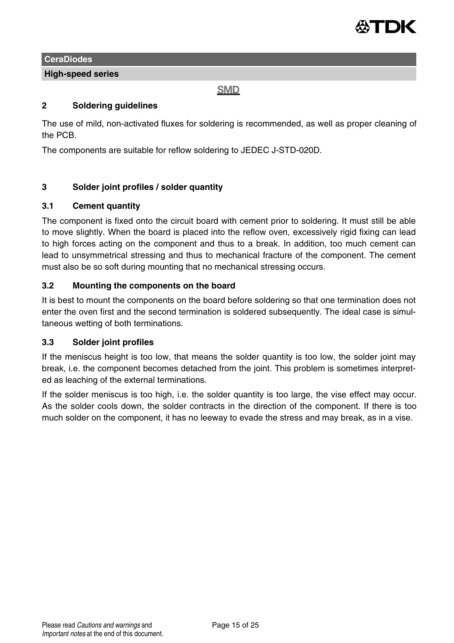

### **High-speed series**

### **SMD**

### **2 Soldering guidelines**

The use of mild, non-activated fluxes for soldering is recommended, as well as proper cleaning of the PCB.

The components are suitable for reflow soldering to JEDEC J-STD-020D.

### **3 Solder joint profiles / solder quantity**

### **3.1 Cement quantity**

The component is fixed onto the circuit board with cement prior to soldering. It must still be able to move slightly. When the board is placed into the reflow oven, excessively rigid fixing can lead to high forces acting on the component and thus to a break. In addition, too much cement can lead to unsymmetrical stressing and thus to mechanical fracture of the component. The cement must also be so soft during mounting that no mechanical stressing occurs.

### **3.2 Mounting the components on the board**

It is best to mount the components on the board before soldering so that one termination does not enter the oven first and the second termination is soldered subsequently. The ideal case is simultaneous wetting of both terminations.

### **3.3 Solder joint profiles**

If the meniscus height is too low, that means the solder quantity is too low, the solder joint may break, i.e. the component becomes detached from the joint. This problem is sometimes interpreted as leaching of the external terminations.

If the solder meniscus is too high, i.e. the solder quantity is too large, the vise effect may occur. As the solder cools down, the solder contracts in the direction of the component. If there is too much solder on the component, it has no leeway to evade the stress and may break, as in a vise.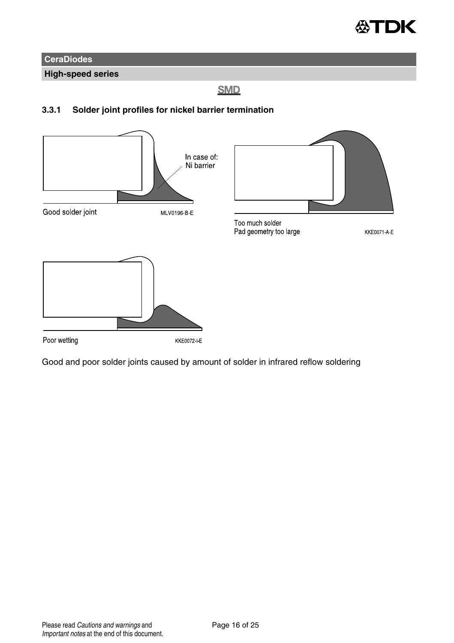

**High-speed series**

**SMD** 

### **3.3.1 Solder joint profiles for nickel barrier termination**



Good and poor solder joints caused by amount of solder in infrared reflow soldering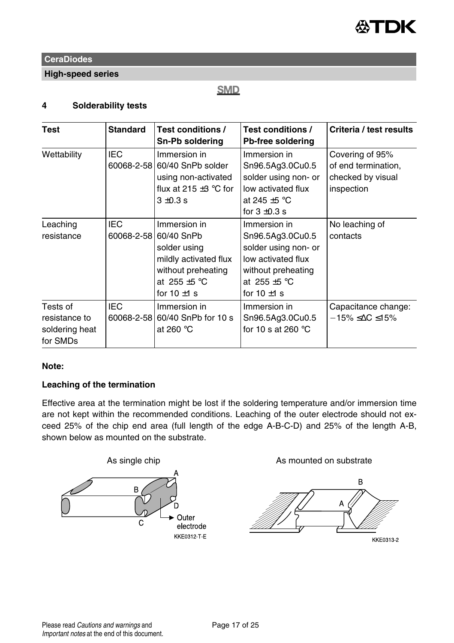

**High-speed series**

## **SMD**

### **4 Solderability tests**

| Test                                                    | <b>Standard</b>          | Test conditions /<br>Sn-Pb soldering                                                                                                          | Test conditions /<br>Pb-free soldering                                                                                                        | Criteria / test results                                                   |
|---------------------------------------------------------|--------------------------|-----------------------------------------------------------------------------------------------------------------------------------------------|-----------------------------------------------------------------------------------------------------------------------------------------------|---------------------------------------------------------------------------|
| Wettability                                             | IEC                      | Immersion in<br>60068-2-58 60/40 SnPb solder<br>using non-activated<br>flux at 215 $\pm$ 3 °C for<br>$3 + 0.3$ s                              | Immersion in<br>Sn96.5Ag3.0Cu0.5<br>solder using non- or<br>low activated flux<br>at 245 $\pm$ 5 °C<br>for $3 \pm 0.3$ s                      | Covering of 95%<br>of end termination,<br>checked by visual<br>inspection |
| Leaching<br>resistance                                  | <b>IEC</b>               | Immersion in<br>60068-2-58 60/40 SnPb<br>solder using<br>mildly activated flux<br>without preheating<br>at 255 $\pm$ 5 °C<br>for 10 $\pm$ 1 s | Immersion in<br>Sn96.5Ag3.0Cu0.5<br>solder using non- or<br>low activated flux<br>without preheating<br>at 255 $\pm$ 5 °C<br>for $10 \pm 1$ s | No leaching of<br>contacts                                                |
| Tests of<br>resistance to<br>soldering heat<br>for SMDs | <b>IEC</b><br>60068-2-58 | Immersion in<br>60/40 SnPb for 10 s<br>at 260 $°C$                                                                                            | Immersion in<br>Sn96.5Ag3.0Cu0.5<br>for 10 s at 260 $\degree$ C                                                                               | Capacitance change:<br>$-15\% \leq \Delta C \leq 15\%$                    |

### **Note:**

### **Leaching of the termination**

Effective area at the termination might be lost if the soldering temperature and/or immersion time are not kept within the recommended conditions. Leaching of the outer electrode should not exceed 25% of the chip end area (full length of the edge A-B-C-D) and 25% of the length A-B, shown below as mounted on the substrate.

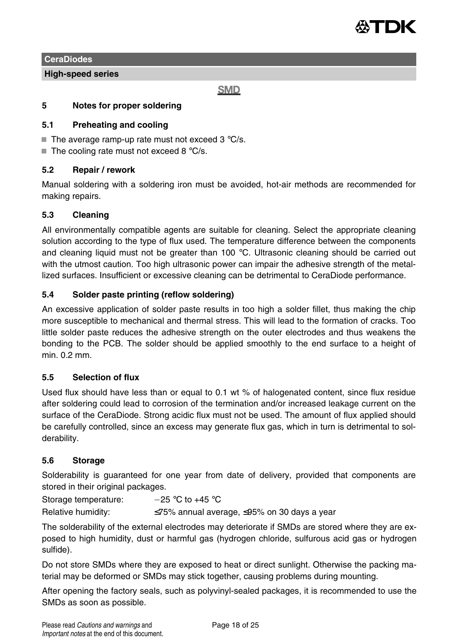

**High-speed series**

**SMD** 

### **5 Notes for proper soldering**

### **5.1 Preheating and cooling**

- $\blacksquare$  The average ramp-up rate must not exceed 3 °C/s.
- $\blacksquare$  The cooling rate must not exceed 8 °C/s.

### **5.2 Repair / rework**

Manual soldering with a soldering iron must be avoided, hot-air methods are recommended for making repairs.

### **5.3 Cleaning**

All environmentally compatible agents are suitable for cleaning. Select the appropriate cleaning solution according to the type of flux used. The temperature difference between the components and cleaning liquid must not be greater than 100  $\degree$ C. Ultrasonic cleaning should be carried out with the utmost caution. Too high ultrasonic power can impair the adhesive strength of the metallized surfaces. Insufficient or excessive cleaning can be detrimental to CeraDiode performance.

### **5.4 Solder paste printing (reflow soldering)**

An excessive application of solder paste results in too high a solder fillet, thus making the chip more susceptible to mechanical and thermal stress. This will lead to the formation of cracks. Too little solder paste reduces the adhesive strength on the outer electrodes and thus weakens the bonding to the PCB. The solder should be applied smoothly to the end surface to a height of min. 0.2 mm.

### **5.5 Selection of flux**

Used flux should have less than or equal to 0.1 wt % of halogenated content, since flux residue after soldering could lead to corrosion of the termination and/or increased leakage current on the surface of the CeraDiode. Strong acidic flux must not be used. The amount of flux applied should be carefully controlled, since an excess may generate flux gas, which in turn is detrimental to solderability.

### **5.6 Storage**

Solderability is guaranteed for one year from date of delivery, provided that components are stored in their original packages.

Storage temperature:  $-25 \degree C$  to +45  $\degree C$ 

Relative humidity: ≤75% annual average, ≤95% on 30 days a year

The solderability of the external electrodes may deteriorate if SMDs are stored where they are exposed to high humidity, dust or harmful gas (hydrogen chloride, sulfurous acid gas or hydrogen sulfide).

Do not store SMDs where they are exposed to heat or direct sunlight. Otherwise the packing material may be deformed or SMDs may stick together, causing problems during mounting.

After opening the factory seals, such as polyvinyl-sealed packages, it is recommended to use the SMDs as soon as possible.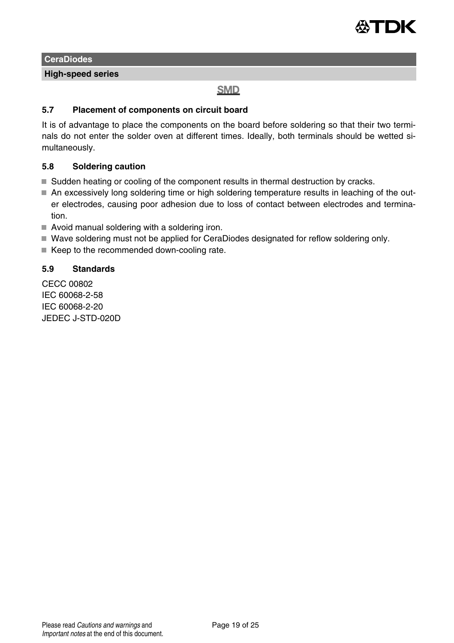

**High-speed series**

## **SMD**

### **5.7 Placement of components on circuit board**

It is of advantage to place the components on the board before soldering so that their two terminals do not enter the solder oven at different times. Ideally, both terminals should be wetted simultaneously.

### **5.8 Soldering caution**

- Sudden heating or cooling of the component results in thermal destruction by cracks.
- An excessively long soldering time or high soldering temperature results in leaching of the outer electrodes, causing poor adhesion due to loss of contact between electrodes and termination.
- Avoid manual soldering with a soldering iron.
- Wave soldering must not be applied for CeraDiodes designated for reflow soldering only.
- $\blacksquare$  Keep to the recommended down-cooling rate.

### **5.9 Standards**

CECC 00802 IEC 60068-2-58 IEC 60068-2-20 JEDEC J-STD-020D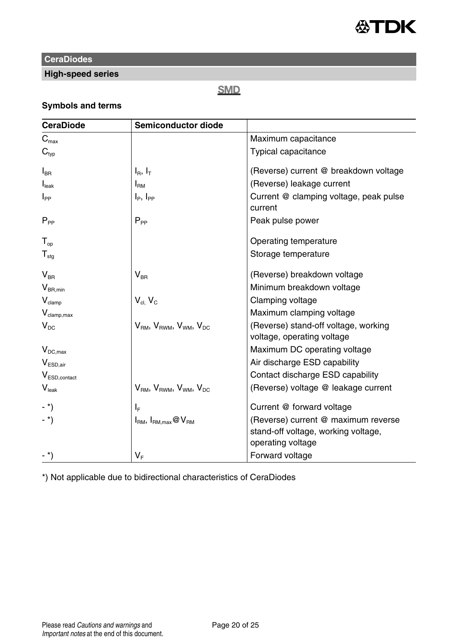

## **High-speed series**

## **SMD**

## **Symbols and terms**

| <b>CeraDiode</b>                         | Semiconductor diode                                                    |                                                                                                 |
|------------------------------------------|------------------------------------------------------------------------|-------------------------------------------------------------------------------------------------|
| $C_{\sf max}$                            |                                                                        | Maximum capacitance                                                                             |
| $C_{\text{two}}$                         |                                                                        | Typical capacitance                                                                             |
| $\mathsf{I}_\mathsf{BR}$                 | $I_R$ , $I_T$                                                          | (Reverse) current @ breakdown voltage                                                           |
| I <sub>leak</sub>                        | I <sub>RM</sub>                                                        | (Reverse) leakage current                                                                       |
| $I_{PP}$                                 | $I_{\rm p}$ , $I_{\rm pp}$                                             | Current @ clamping voltage, peak pulse<br>current                                               |
| $P_{PP}$                                 | $P_{PP}$                                                               | Peak pulse power                                                                                |
| $T_{\rm{on}}$                            |                                                                        | Operating temperature                                                                           |
| ${\mathsf T}_{\text{stg}}$               |                                                                        | Storage temperature                                                                             |
| $V_{BR}$                                 | $\mathsf{V}_{\mathsf{BR}}$                                             | (Reverse) breakdown voltage                                                                     |
| $\mathsf{V}_{\mathsf{BR},\mathsf{min}}$  |                                                                        | Minimum breakdown voltage                                                                       |
| $\mathsf{V}_{\text{clamp}}$              | $V_{cl.}$ $V_C$                                                        | Clamping voltage                                                                                |
| $V_{\text{clamp,max}}$                   |                                                                        | Maximum clamping voltage                                                                        |
| $V_{DC}$                                 | V <sub>RM</sub> , V <sub>RWM</sub> , V <sub>WM</sub> , V <sub>DC</sub> | (Reverse) stand-off voltage, working<br>voltage, operating voltage                              |
| $\mathsf{V}_{\mathsf{DC},\mathsf{max}}$  |                                                                        | Maximum DC operating voltage                                                                    |
| $\mathsf{V}_{\mathsf{ESD},\mathsf{air}}$ |                                                                        | Air discharge ESD capability                                                                    |
| $V_{\text{ESD},\text{contact}}$          |                                                                        | Contact discharge ESD capability                                                                |
| $V_{\text{leak}}$                        | $V_{BM}$ , $V_{BWM}$ , $V_{WM}$ , $V_{DC}$                             | (Reverse) voltage @ leakage current                                                             |
| $-$ *)                                   | ۱È.                                                                    | Current @ forward voltage                                                                       |
| $-$ *)                                   | $I_{\text{RM}}$ , $I_{\text{RM,max}}$ @ $V_{\text{RM}}$                | (Reverse) current @ maximum reverse<br>stand-off voltage, working voltage,<br>operating voltage |
| $-$ *)                                   | $V_F$                                                                  | Forward voltage                                                                                 |

\*) Not applicable due to bidirectional characteristics of CeraDiodes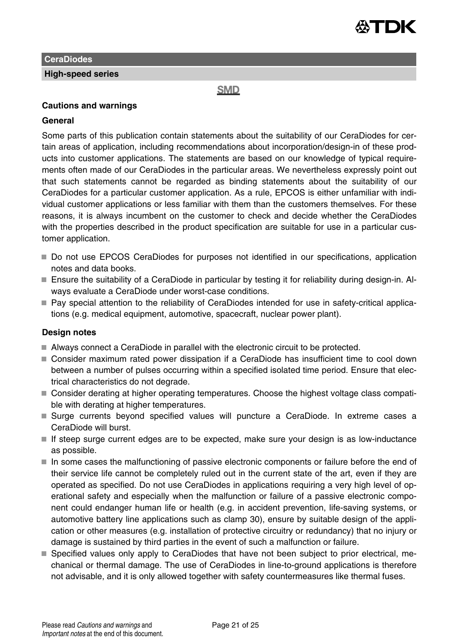

**High-speed series**

**SMD** 

### **Cautions and warnings**

### **General**

Some parts of this publication contain statements about the suitability of our CeraDiodes for certain areas of application, including recommendations about incorporation/design-in of these products into customer applications. The statements are based on our knowledge of typical requirements often made of our CeraDiodes in the particular areas. We nevertheless expressly point out that such statements cannot be regarded as binding statements about the suitability of our CeraDiodes for a particular customer application. As a rule, EPCOS is either unfamiliar with individual customer applications or less familiar with them than the customers themselves. For these reasons, it is always incumbent on the customer to check and decide whether the CeraDiodes with the properties described in the product specification are suitable for use in a particular customer application.

- Do not use EPCOS CeraDiodes for purposes not identified in our specifications, application notes and data books.
- Ensure the suitability of a CeraDiode in particular by testing it for reliability during design-in. Always evaluate a CeraDiode under worst-case conditions.
- Pay special attention to the reliability of CeraDiodes intended for use in safety-critical applications (e.g. medical equipment, automotive, spacecraft, nuclear power plant).

### **Design notes**

- Always connect a CeraDiode in parallel with the electronic circuit to be protected.
- Consider maximum rated power dissipation if a CeraDiode has insufficient time to cool down between a number of pulses occurring within a specified isolated time period. Ensure that electrical characteristics do not degrade.
- Consider derating at higher operating temperatures. Choose the highest voltage class compatible with derating at higher temperatures.
- Surge currents beyond specified values will puncture a CeraDiode. In extreme cases a CeraDiode will burst.
- If steep surge current edges are to be expected, make sure your design is as low-inductance as possible.
- $\blacksquare$  In some cases the malfunctioning of passive electronic components or failure before the end of their service life cannot be completely ruled out in the current state of the art, even if they are operated as specified. Do not use CeraDiodes in applications requiring a very high level of operational safety and especially when the malfunction or failure of a passive electronic component could endanger human life or health (e.g. in accident prevention, life-saving systems, or automotive battery line applications such as clamp 30), ensure by suitable design of the application or other measures (e.g. installation of protective circuitry or redundancy) that no injury or damage is sustained by third parties in the event of such a malfunction or failure.
- Specified values only apply to CeraDiodes that have not been subject to prior electrical, mechanical or thermal damage. The use of CeraDiodes in line-to-ground applications is therefore not advisable, and it is only allowed together with safety countermeasures like thermal fuses.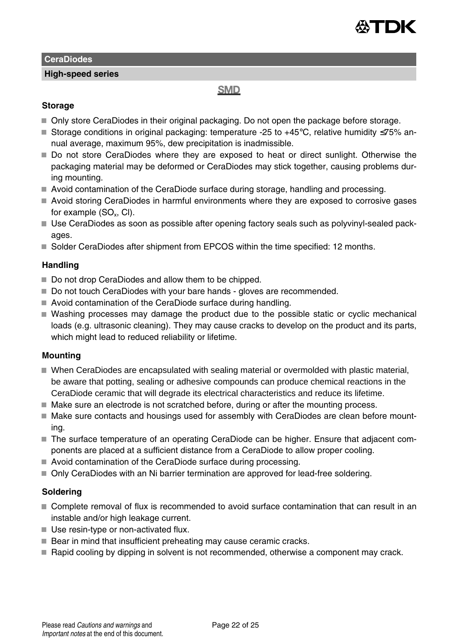

### **High-speed series**

## **SMD**

### **Storage**

- Only store CeraDiodes in their original packaging. Do not open the package before storage.
- Storage conditions in original packaging: temperature -25 to +45°C, relative humidity ≤75% annual average, maximum 95%, dew precipitation is inadmissible.
- Do not store CeraDiodes where they are exposed to heat or direct sunlight. Otherwise the packaging material may be deformed or CeraDiodes may stick together, causing problems during mounting.
- Avoid contamination of the CeraDiode surface during storage, handling and processing.
- Avoid storing CeraDiodes in harmful environments where they are exposed to corrosive gases for example (SO $_{\sf x}$ , CI).
- Use CeraDiodes as soon as possible after opening factory seals such as polyvinyl-sealed packages.
- Solder CeraDiodes after shipment from EPCOS within the time specified: 12 months.

### **Handling**

- Do not drop CeraDiodes and allow them to be chipped.
- Do not touch CeraDiodes with your bare hands gloves are recommended.
- Avoid contamination of the CeraDiode surface during handling.
- Washing processes may damage the product due to the possible static or cyclic mechanical loads (e.g. ultrasonic cleaning). They may cause cracks to develop on the product and its parts, which might lead to reduced reliability or lifetime.

### **Mounting**

- When CeraDiodes are encapsulated with sealing material or overmolded with plastic material, be aware that potting, sealing or adhesive compounds can produce chemical reactions in the CeraDiode ceramic that will degrade its electrical characteristics and reduce its lifetime.
- Make sure an electrode is not scratched before, during or after the mounting process.
- Make sure contacts and housings used for assembly with CeraDiodes are clean before mounting.
- The surface temperature of an operating CeraDiode can be higher. Ensure that adjacent components are placed at a sufficient distance from a CeraDiode to allow proper cooling.
- Avoid contamination of the CeraDiode surface during processing.
- Only CeraDiodes with an Ni barrier termination are approved for lead-free soldering.

### **Soldering**

- Complete removal of flux is recommended to avoid surface contamination that can result in an instable and/or high leakage current.
- Use resin-type or non-activated flux.
- Bear in mind that insufficient preheating may cause ceramic cracks.
- Rapid cooling by dipping in solvent is not recommended, otherwise a component may crack.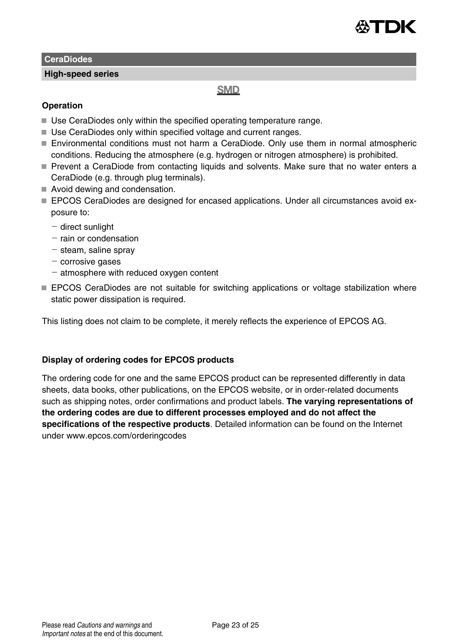

**High-speed series**

### **SMD**

### **Operation**

- Use CeraDiodes only within the specified operating temperature range.
- Use CeraDiodes only within specified voltage and current ranges.
- Environmental conditions must not harm a CeraDiode. Only use them in normal atmospheric conditions. Reducing the atmosphere (e.g. hydrogen or nitrogen atmosphere) is prohibited.
- Prevent a CeraDiode from contacting liquids and solvents. Make sure that no water enters a CeraDiode (e.g. through plug terminals).
- Avoid dewing and condensation.
- EPCOS CeraDiodes are designed for encased applications. Under all circumstances avoid exposure to:
	- direct sunlight
	- $-$  rain or condensation
	- steam, saline spray
	- $-$  corrosive gases
	- $-$  atmosphere with reduced oxygen content
- **EPCOS CeraDiodes are not suitable for switching applications or voltage stabilization where** static power dissipation is required.

This listing does not claim to be complete, it merely reflects the experience of EPCOS AG.

### **Display of ordering codes for EPCOS products**

The ordering code for one and the same EPCOS product can be represented differently in data sheets, data books, other publications, on the EPCOS website, or in order-related documents such as shipping notes, order confirmations and product labels. **The varying representations of the ordering codes are due to different processes employed and do not affect the specifications of the respective products**. Detailed information can be found on the Internet under www.epcos.com/orderingcodes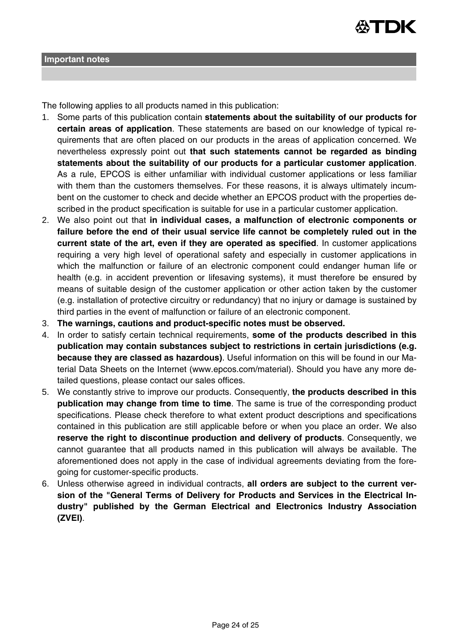

The following applies to all products named in this publication:

- 1. Some parts of this publication contain **statements about the suitability of our products for certain areas of application**. These statements are based on our knowledge of typical requirements that are often placed on our products in the areas of application concerned. We nevertheless expressly point out **that such statements cannot be regarded as binding statements about the suitability of our products for a particular customer application**. As a rule, EPCOS is either unfamiliar with individual customer applications or less familiar with them than the customers themselves. For these reasons, it is always ultimately incumbent on the customer to check and decide whether an EPCOS product with the properties described in the product specification is suitable for use in a particular customer application.
- 2. We also point out that **in individual cases, a malfunction of electronic components or failure before the end of their usual service life cannot be completely ruled out in the current state of the art, even if they are operated as specified**. In customer applications requiring a very high level of operational safety and especially in customer applications in which the malfunction or failure of an electronic component could endanger human life or health (e.g. in accident prevention or lifesaving systems), it must therefore be ensured by means of suitable design of the customer application or other action taken by the customer (e.g. installation of protective circuitry or redundancy) that no injury or damage is sustained by third parties in the event of malfunction or failure of an electronic component.
- 3. **The warnings, cautions and product-specific notes must be observed.**
- 4. In order to satisfy certain technical requirements, **some of the products described in this publication may contain substances subject to restrictions in certain jurisdictions (e.g. because they are classed as hazardous)**. Useful information on this will be found in our Material Data Sheets on the Internet (www.epcos.com/material). Should you have any more detailed questions, please contact our sales offices.
- 5. We constantly strive to improve our products. Consequently, **the products described in this publication may change from time to time**. The same is true of the corresponding product specifications. Please check therefore to what extent product descriptions and specifications contained in this publication are still applicable before or when you place an order. We also **reserve the right to discontinue production and delivery of products**. Consequently, we cannot guarantee that all products named in this publication will always be available. The aforementioned does not apply in the case of individual agreements deviating from the foregoing for customer-specific products.
- 6. Unless otherwise agreed in individual contracts, **all orders are subject to the current version of the "General Terms of Delivery for Products and Services in the Electrical Industry" published by the German Electrical and Electronics Industry Association (ZVEI)**.